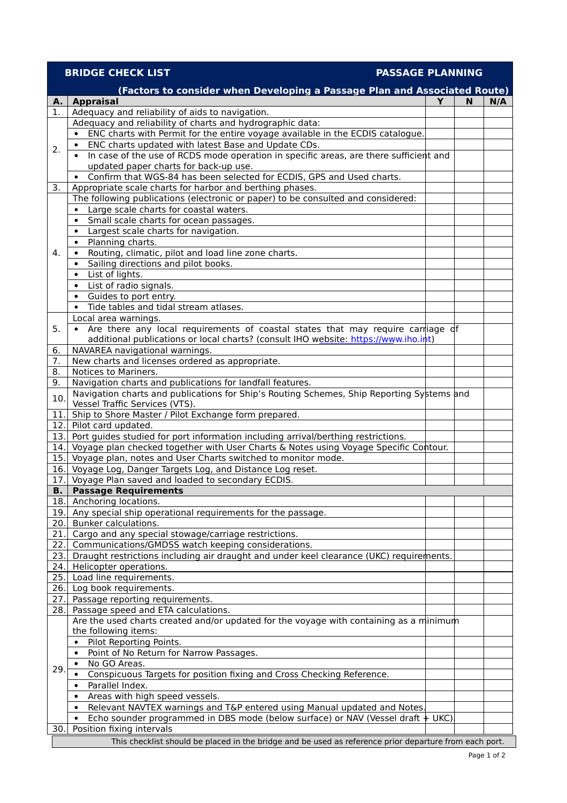## **BRIDGE CHECK LIST PASSAGE PLANNING**

|            | (Factors to consider when Developing a Passage Plan and Associated Route)                                   |  |     |
|------------|-------------------------------------------------------------------------------------------------------------|--|-----|
| Α.         | <b>Appraisal</b>                                                                                            |  | N/A |
| 1.         | Adequacy and reliability of aids to navigation.                                                             |  |     |
|            | Adequacy and reliability of charts and hydrographic data:                                                   |  |     |
|            | ENC charts with Permit for the entire voyage available in the ECDIS catalogue.                              |  |     |
| 2.         | ENC charts updated with latest Base and Update CDs.                                                         |  |     |
|            | In case of the use of RCDS mode operation in specific areas, are there sufficient and<br>$\bullet$          |  |     |
|            | updated paper charts for back-up use.                                                                       |  |     |
|            | Confirm that WGS-84 has been selected for ECDIS, GPS and Used charts.<br>$\bullet$                          |  |     |
| 3.         | Appropriate scale charts for harbor and berthing phases.                                                    |  |     |
|            | The following publications (electronic or paper) to be consulted and considered:                            |  |     |
|            | Large scale charts for coastal waters.<br>$\bullet$                                                         |  |     |
|            | Small scale charts for ocean passages.<br>$\bullet$                                                         |  |     |
|            | Largest scale charts for navigation.<br>$\bullet$                                                           |  |     |
|            | Planning charts.<br>$\bullet$                                                                               |  |     |
| 4.         | Routing, climatic, pilot and load line zone charts.<br>$\bullet$                                            |  |     |
|            | Sailing directions and pilot books.<br>$\bullet$                                                            |  |     |
|            | List of lights.<br>$\bullet$                                                                                |  |     |
|            | List of radio signals.<br>$\bullet$                                                                         |  |     |
|            | Guides to port entry.<br>$\bullet$                                                                          |  |     |
|            | Tide tables and tidal stream atlases.<br>$\bullet$                                                          |  |     |
|            | Local area warnings.                                                                                        |  |     |
| 5.         | Are there any local requirements of coastal states that may require carriage of                             |  |     |
|            | additional publications or local charts? (consult IHO website: https://www.iho.int)                         |  |     |
| 6.         | NAVAREA navigational warnings.                                                                              |  |     |
| 7.         | New charts and licenses ordered as appropriate.                                                             |  |     |
| 8.         | Notices to Mariners.                                                                                        |  |     |
| 9.         | Navigation charts and publications for landfall features.                                                   |  |     |
| 10.        | Navigation charts and publications for Ship's Routing Schemes, Ship Reporting Systems and                   |  |     |
|            | Vessel Traffic Services (VTS).                                                                              |  |     |
| 11.        | Ship to Shore Master / Pilot Exchange form prepared.                                                        |  |     |
| 12.        | Pilot card updated.                                                                                         |  |     |
| 13.        | Port guides studied for port information including arrival/berthing restrictions.                           |  |     |
| 14.        | Voyage plan checked together with User Charts & Notes using Voyage Specific Contour.                        |  |     |
| 15.        | Voyage plan, notes and User Charts switched to monitor mode.                                                |  |     |
| 16.<br>17. | Voyage Log, Danger Targets Log, and Distance Log reset.<br>Voyage Plan saved and loaded to secondary ECDIS. |  |     |
| В.         | <b>Passage Requirements</b>                                                                                 |  |     |
|            | 18. Anchoring locations.                                                                                    |  |     |
|            | 19. Any special ship operational requirements for the passage.                                              |  |     |
| 20.        | Bunker calculations.                                                                                        |  |     |
| 21.        | Cargo and any special stowage/carriage restrictions.                                                        |  |     |
| 22.        | Communications/GMDSS watch keeping considerations.                                                          |  |     |
| 23.        | Draught restrictions including air draught and under keel clearance (UKC) requirements.                     |  |     |
| 24.        | Helicopter operations.                                                                                      |  |     |
| 25.        | Load line requirements.                                                                                     |  |     |
| 26.        | Log book requirements.                                                                                      |  |     |
| 27.        | Passage reporting requirements.                                                                             |  |     |
| 28.        | Passage speed and ETA calculations.                                                                         |  |     |
|            | Are the used charts created and/or updated for the voyage with containing as a minimum                      |  |     |
|            | the following items:                                                                                        |  |     |
|            | Pilot Reporting Points.<br>$\bullet$                                                                        |  |     |
|            | Point of No Return for Narrow Passages.<br>$\bullet$                                                        |  |     |
|            | No GO Areas.                                                                                                |  |     |
| 29.        | Conspicuous Targets for position fixing and Cross Checking Reference.                                       |  |     |
|            | Parallel Index.<br>$\bullet$                                                                                |  |     |
|            | Areas with high speed vessels.                                                                              |  |     |
|            | Relevant NAVTEX warnings and T&P entered using Manual updated and Notes.<br>$\bullet$                       |  |     |
|            | Echo sounder programmed in DBS mode (below surface) or NAV (Vessel draft + UKC).                            |  |     |
| 30.        | Position fixing intervals                                                                                   |  |     |
|            | This checklist should be placed in the bridge and be used as reference prior departure from each port.      |  |     |
|            |                                                                                                             |  |     |